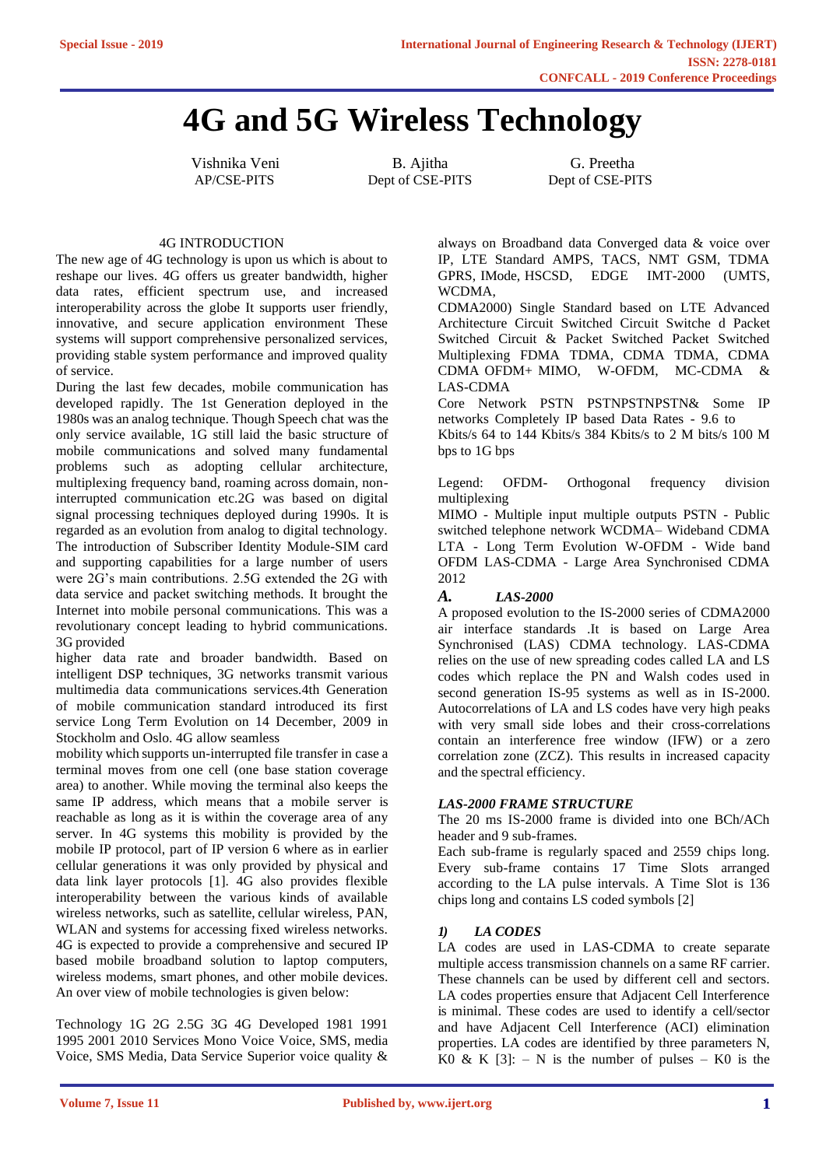# **4G and 5G Wireless Technology**

Vishnika Veni B. Ajitha G. Preetha

AP/CSE-PITS Dept of CSE-PITS Dept of CSE-PITS

#### 4G INTRODUCTION

The new age of 4G technology is upon us which is about to reshape our lives. 4G offers us greater bandwidth, higher data rates, efficient spectrum use, and increased interoperability across the globe It supports user friendly, innovative, and secure application environment These systems will support comprehensive personalized services, providing stable system performance and improved quality of service.

During the last few decades, mobile communication has developed rapidly. The 1st Generation deployed in the 1980s was an analog technique. Though Speech chat was the only service available, 1G still laid the basic structure of mobile communications and solved many fundamental problems such as adopting cellular architecture, multiplexing frequency band, roaming across domain, noninterrupted communication etc.2G was based on digital signal processing techniques deployed during 1990s. It is regarded as an evolution from analog to digital technology. The introduction of Subscriber Identity Module-SIM card and supporting capabilities for a large number of users were 2G's main contributions. 2.5G extended the 2G with data service and packet switching methods. It brought the Internet into mobile personal communications. This was a revolutionary concept leading to hybrid communications. 3G provided

higher data rate and broader bandwidth. Based on intelligent DSP techniques, 3G networks transmit various multimedia data communications services.4th Generation of mobile communication standard introduced its first service Long Term Evolution on 14 December, 2009 in Stockholm and Oslo. 4G allow seamless

mobility which supports un-interrupted file transfer in case a terminal moves from one cell (one base station coverage area) to another. While moving the terminal also keeps the same IP address, which means that a mobile server is reachable as long as it is within the coverage area of any server. In 4G systems this mobility is provided by the mobile IP protocol, part of IP version 6 where as in earlier cellular generations it was only provided by physical and data link layer protocols [1]. 4G also provides flexible interoperability between the various kinds of available wireless networks, such as satellite, cellular wireless, PAN, WLAN and systems for accessing fixed wireless networks. 4G is expected to provide a comprehensive and secured IP based mobile broadband solution to laptop computers, wireless modems, smart phones, and other mobile devices. An over view of mobile technologies is given below:

Technology 1G 2G 2.5G 3G 4G Developed 1981 1991 1995 2001 2010 Services Mono Voice Voice, SMS, media Voice, SMS Media, Data Service Superior voice quality & always on Broadband data Converged data & voice over IP, LTE Standard AMPS, TACS, NMT GSM, TDMA GPRS, IMode, HSCSD, EDGE IMT-2000 (UMTS, WCDMA,

CDMA2000) Single Standard based on LTE Advanced Architecture Circuit Switched Circuit Switche d Packet Switched Circuit & Packet Switched Packet Switched Multiplexing FDMA TDMA, CDMA TDMA, CDMA CDMA OFDM+ MIMO, W-OFDM, MC-CDMA & LAS-CDMA

Core Network PSTN PSTNPSTNPSTN& Some IP networks Completely IP based Data Rates - 9.6 to

Kbits/s 64 to 144 Kbits/s 384 Kbits/s to 2 M bits/s 100 M bps to 1G bps

Legend: OFDM- Orthogonal frequency division multiplexing

MIMO - Multiple input multiple outputs PSTN - Public switched telephone network WCDMA– Wideband CDMA LTA - Long Term Evolution W-OFDM - Wide band OFDM LAS-CDMA - Large Area Synchronised CDMA 2012

#### *A. LAS-2000*

A proposed evolution to the IS-2000 series of CDMA2000 air interface standards .It is based on Large Area Synchronised (LAS) CDMA technology. LAS-CDMA relies on the use of new spreading codes called LA and LS codes which replace the PN and Walsh codes used in second generation IS-95 systems as well as in IS-2000. Autocorrelations of LA and LS codes have very high peaks with very small side lobes and their cross-correlations contain an interference free window (IFW) or a zero correlation zone (ZCZ). This results in increased capacity and the spectral efficiency.

#### *LAS-2000 FRAME STRUCTURE*

The 20 ms IS-2000 frame is divided into one BCh/ACh header and 9 sub-frames.

Each sub-frame is regularly spaced and 2559 chips long. Every sub-frame contains 17 Time Slots arranged according to the LA pulse intervals. A Time Slot is 136 chips long and contains LS coded symbols [2]

#### *1) LA CODES*

LA codes are used in LAS-CDMA to create separate multiple access transmission channels on a same RF carrier. These channels can be used by different cell and sectors. LA codes properties ensure that Adjacent Cell Interference is minimal. These codes are used to identify a cell/sector and have Adjacent Cell Interference (ACI) elimination properties. LA codes are identified by three parameters N, K0 & K  $[3]$ : – N is the number of pulses – K0 is the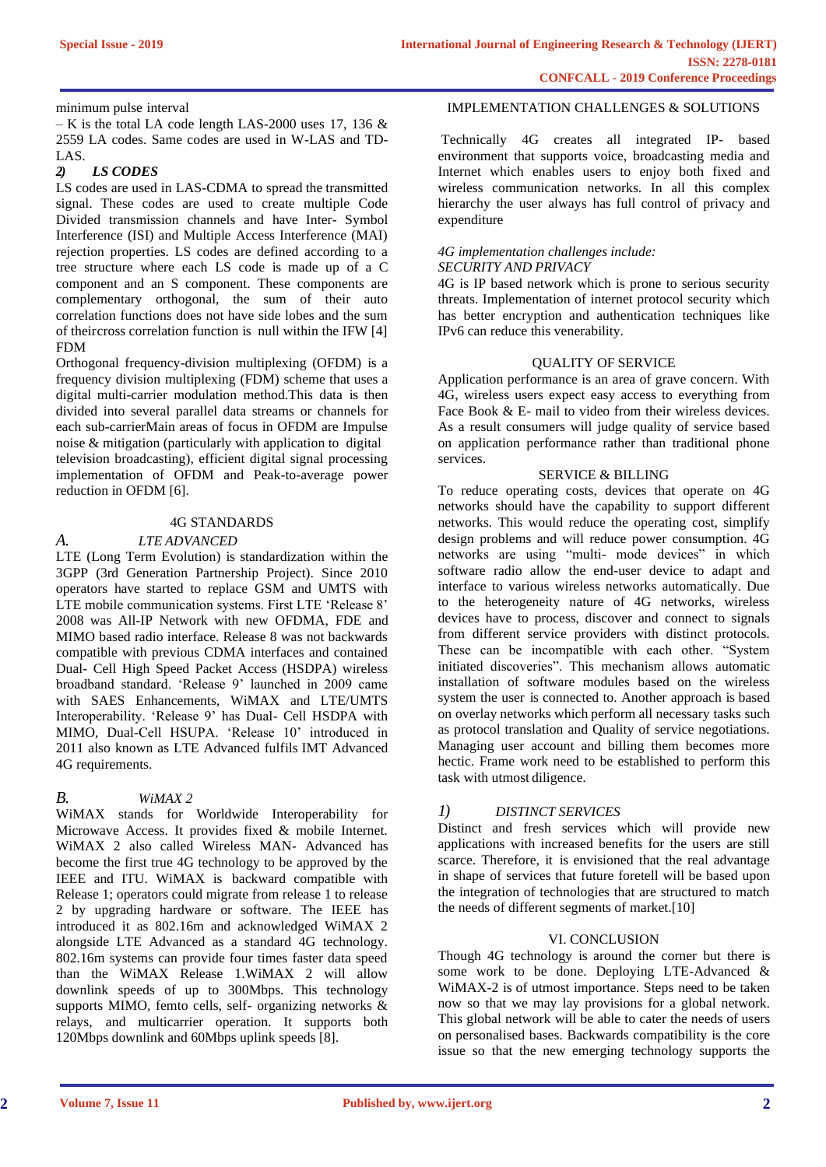minimum pulse interval

– K is the total LA code length LAS-2000 uses 17, 136  $\&$ 2559 LA codes. Same codes are used in W-LAS and TD-LAS.

#### *2) LS CODES*

LS codes are used in LAS-CDMA to spread the transmitted signal. These codes are used to create multiple Code Divided transmission channels and have Inter- Symbol Interference (ISI) and Multiple Access Interference (MAI) rejection properties. LS codes are defined according to a tree structure where each LS code is made up of a C component and an S component. These components are complementary orthogonal, the sum of their auto correlation functions does not have side lobes and the sum of theircross correlation function is null within the IFW [4] FDM

Orthogonal frequency-division multiplexing (OFDM) is a frequency division multiplexing (FDM) scheme that uses a digital multi-carrier modulation method.This data is then divided into several parallel data streams or channels for each sub-carrierMain areas of focus in OFDM are Impulse noise & mitigation (particularly with application to digital television broadcasting), efficient digital signal processing implementation of OFDM and Peak-to-average power reduction in OFDM [6].

#### 4G STANDARDS

### *A. LTE ADVANCED*

LTE (Long Term Evolution) is standardization within the 3GPP (3rd Generation Partnership Project). Since 2010 operators have started to replace GSM and UMTS with LTE mobile communication systems. First LTE 'Release 8' 2008 was All-IP Network with new OFDMA, FDE and MIMO based radio interface. Release 8 was not backwards compatible with previous CDMA interfaces and contained Dual- Cell High Speed Packet Access (HSDPA) wireless broadband standard. 'Release 9' launched in 2009 came with SAES Enhancements, WiMAX and LTE/UMTS Interoperability. 'Release 9' has Dual- Cell HSDPA with MIMO, Dual-Cell HSUPA. 'Release 10' introduced in 2011 also known as LTE Advanced fulfils IMT Advanced 4G requirements.

# *B. WiMAX 2*

WiMAX stands for Worldwide Interoperability for Microwave Access. It provides fixed & mobile Internet. WiMAX 2 also called Wireless MAN- Advanced has become the first true 4G technology to be approved by the IEEE and ITU. WiMAX is backward compatible with Release 1; operators could migrate from release 1 to release 2 by upgrading hardware or software. The IEEE has introduced it as 802.16m and acknowledged WiMAX 2 alongside LTE Advanced as a standard 4G technology. 802.16m systems can provide four times faster data speed than the WiMAX Release 1.WiMAX 2 will allow downlink speeds of up to 300Mbps. This technology supports MIMO, femto cells, self- organizing networks & relays, and multicarrier operation. It supports both 120Mbps downlink and 60Mbps uplink speeds [8].

#### IMPLEMENTATION CHALLENGES & SOLUTIONS

Technically 4G creates all integrated IP- based environment that supports voice, broadcasting media and Internet which enables users to enjoy both fixed and wireless communication networks. In all this complex hierarchy the user always has full control of privacy and expenditure

# *4G implementation challenges include:*

# *SECURITY AND PRIVACY*

4G is IP based network which is prone to serious security threats. Implementation of internet protocol security which has better encryption and authentication techniques like IPv6 can reduce this venerability.

#### QUALITY OF SERVICE

Application performance is an area of grave concern. With 4G, wireless users expect easy access to everything from Face Book & E- mail to video from their wireless devices. As a result consumers will judge quality of service based on application performance rather than traditional phone services.

#### SERVICE & BILLING

To reduce operating costs, devices that operate on 4G networks should have the capability to support different networks. This would reduce the operating cost, simplify design problems and will reduce power consumption. 4G networks are using "multi- mode devices" in which software radio allow the end-user device to adapt and interface to various wireless networks automatically. Due to the heterogeneity nature of 4G networks, wireless devices have to process, discover and connect to signals from different service providers with distinct protocols. These can be incompatible with each other. "System initiated discoveries". This mechanism allows automatic installation of software modules based on the wireless system the user is connected to. Another approach is based on overlay networks which perform all necessary tasks such as protocol translation and Quality of service negotiations. Managing user account and billing them becomes more hectic. Frame work need to be established to perform this task with utmost diligence.

# *1) DISTINCT SERVICES*

Distinct and fresh services which will provide new applications with increased benefits for the users are still scarce. Therefore, it is envisioned that the real advantage in shape of services that future foretell will be based upon the integration of technologies that are structured to match the needs of different segments of market.[10]

#### VI. CONCLUSION

Though 4G technology is around the corner but there is some work to be done. Deploying LTE-Advanced & WiMAX-2 is of utmost importance. Steps need to be taken now so that we may lay provisions for a global network. This global network will be able to cater the needs of users on personalised bases. Backwards compatibility is the core issue so that the new emerging technology supports the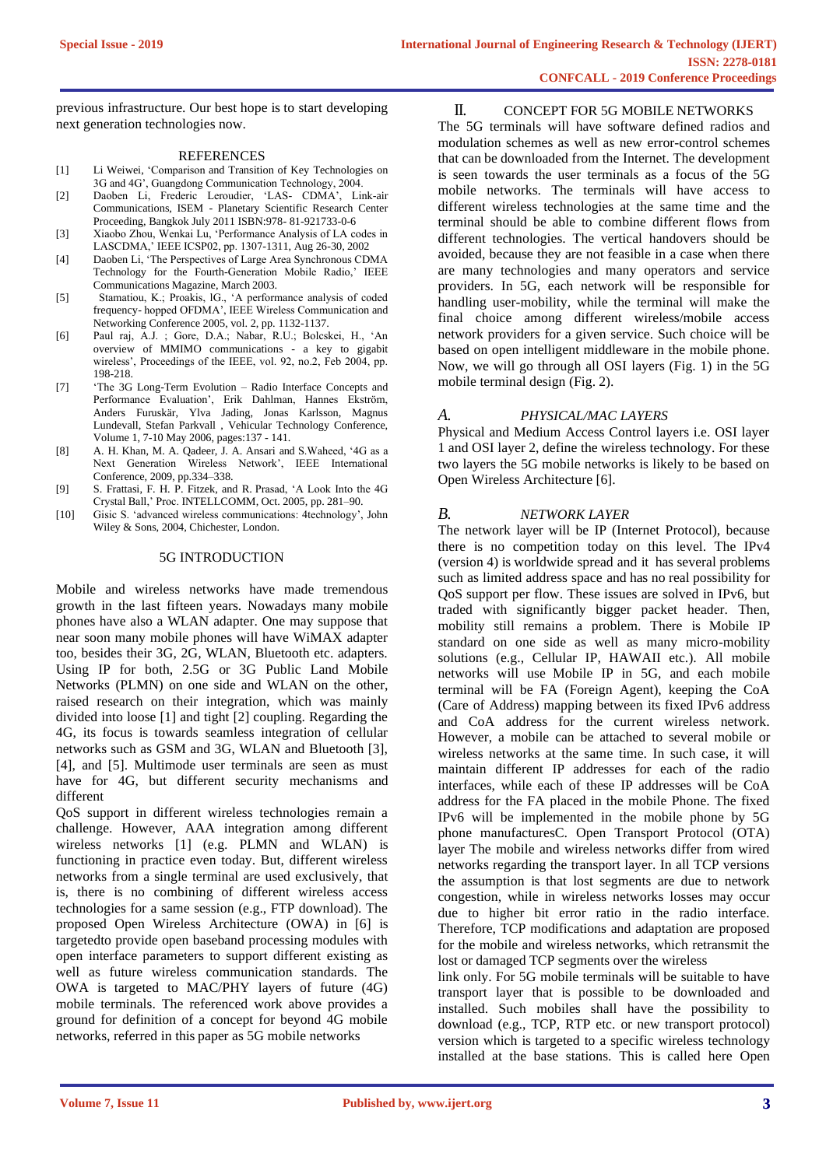previous infrastructure. Our best hope is to start developing next generation technologies now.

#### REFERENCES

- [1] Li Weiwei, 'Comparison and Transition of Key Technologies on 3G and 4G', Guangdong Communication Technology, 2004.
- [2] Daoben Li, Frederic Leroudier, 'LAS- CDMA', Link-air Communications, ISEM - Planetary Scientific Research Center Proceeding, Bangkok July 2011 ISBN:978- 81-921733-0-6
- [3] Xiaobo Zhou, Wenkai Lu, 'Performance Analysis of LA codes in LASCDMA,' IEEE ICSP02, pp. 1307-1311, Aug 26-30, 2002
- [4] Daoben Li, 'The Perspectives of Large Area Synchronous CDMA Technology for the Fourth-Generation Mobile Radio,' IEEE Communications Magazine, March 2003.
- [5] Stamatiou, K.; Proakis, lG., 'A performance analysis of coded frequency- hopped OFDMA', IEEE Wireless Communication and Networking Conference 2005, vol. 2, pp. 1132-1137.
- [6] Paul raj, A.J. ; Gore, D.A.; Nabar, R.U.; Bolcskei, H., 'An overview of MMIMO communications - a key to gigabit wireless', Proceedings of the IEEE, vol. 92, no.2, Feb 2004, pp. 198-218.
- [7] 'The 3G Long-Term Evolution Radio Interface Concepts and Performance Evaluation', Erik Dahlman, Hannes Ekström, Anders Furuskär, Ylva Jading, Jonas Karlsson, Magnus Lundevall, Stefan Parkvall , Vehicular Technology Conference, Volume 1, 7-10 May 2006, pages:137 - 141.
- [8] A. H. Khan, M. A. Qadeer, J. A. Ansari and S.Waheed, '4G as a Next Generation Wireless Network', IEEE International Conference, 2009, pp.334–338.
- [9] S. Frattasi, F. H. P. Fitzek, and R. Prasad, 'A Look Into the 4G Crystal Ball,' Proc. INTELLCOMM, Oct. 2005, pp. 281–90.
- [10] Gisic S. 'advanced wireless communications: 4technology', John Wiley & Sons, 2004, Chichester, London.

#### 5G INTRODUCTION

Mobile and wireless networks have made tremendous growth in the last fifteen years. Nowadays many mobile phones have also a WLAN adapter. One may suppose that near soon many mobile phones will have WiMAX adapter too, besides their 3G, 2G, WLAN, Bluetooth etc. adapters. Using IP for both, 2.5G or 3G Public Land Mobile Networks (PLMN) on one side and WLAN on the other, raised research on their integration, which was mainly divided into loose [1] and tight [2] coupling. Regarding the 4G, its focus is towards seamless integration of cellular networks such as GSM and 3G, WLAN and Bluetooth [3], [4], and [5]. Multimode user terminals are seen as must have for 4G, but different security mechanisms and different

QoS support in different wireless technologies remain a challenge. However, AAA integration among different wireless networks [1] (e.g. PLMN and WLAN) is functioning in practice even today. But, different wireless networks from a single terminal are used exclusively, that is, there is no combining of different wireless access technologies for a same session (e.g., FTP download). The proposed Open Wireless Architecture (OWA) in [6] is targetedto provide open baseband processing modules with open interface parameters to support different existing as well as future wireless communication standards. The OWA is targeted to MAC/PHY layers of future (4G) mobile terminals. The referenced work above provides a ground for definition of a concept for beyond 4G mobile networks, referred in this paper as 5G mobile networks

II. CONCEPT FOR 5G MOBILE NETWORKS

The 5G terminals will have software defined radios and modulation schemes as well as new error-control schemes that can be downloaded from the Internet. The development is seen towards the user terminals as a focus of the 5G mobile networks. The terminals will have access to different wireless technologies at the same time and the terminal should be able to combine different flows from different technologies. The vertical handovers should be avoided, because they are not feasible in a case when there are many technologies and many operators and service providers. In 5G, each network will be responsible for handling user-mobility, while the terminal will make the final choice among different wireless/mobile access network providers for a given service. Such choice will be based on open intelligent middleware in the mobile phone. Now, we will go through all OSI layers (Fig. 1) in the 5G mobile terminal design (Fig. 2).

#### *A. PHYSICAL/MAC LAYERS*

Physical and Medium Access Control layers i.e. OSI layer 1 and OSI layer 2, define the wireless technology. For these two layers the 5G mobile networks is likely to be based on Open Wireless Architecture [6].

#### *B. NETWORK LAYER*

The network layer will be IP (Internet Protocol), because there is no competition today on this level. The IPv4 (version 4) is worldwide spread and it has several problems such as limited address space and has no real possibility for QoS support per flow. These issues are solved in IPv6, but traded with significantly bigger packet header. Then, mobility still remains a problem. There is Mobile IP standard on one side as well as many micro-mobility solutions (e.g., Cellular IP, HAWAII etc.). All mobile networks will use Mobile IP in 5G, and each mobile terminal will be FA (Foreign Agent), keeping the CoA (Care of Address) mapping between its fixed IPv6 address and CoA address for the current wireless network. However, a mobile can be attached to several mobile or wireless networks at the same time. In such case, it will maintain different IP addresses for each of the radio interfaces, while each of these IP addresses will be CoA address for the FA placed in the mobile Phone. The fixed IPv6 will be implemented in the mobile phone by 5G phone manufacturesC. Open Transport Protocol (OTA) layer The mobile and wireless networks differ from wired networks regarding the transport layer. In all TCP versions the assumption is that lost segments are due to network congestion, while in wireless networks losses may occur due to higher bit error ratio in the radio interface. Therefore, TCP modifications and adaptation are proposed for the mobile and wireless networks, which retransmit the lost or damaged TCP segments over the wireless

link only. For 5G mobile terminals will be suitable to have transport layer that is possible to be downloaded and installed. Such mobiles shall have the possibility to download (e.g., TCP, RTP etc. or new transport protocol) version which is targeted to a specific wireless technology installed at the base stations. This is called here Open